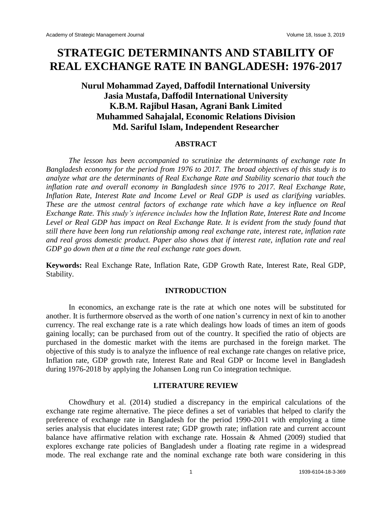# **STRATEGIC DETERMINANTS AND STABILITY OF REAL EXCHANGE RATE IN BANGLADESH: 1976-2017**

# **Nurul Mohammad Zayed, Daffodil International University Jasia Mustafa, Daffodil International University K.B.M. Rajibul Hasan, Agrani Bank Limited Muhammed Sahajalal, Economic Relations Division Md. Sariful Islam, Independent Researcher**

#### **ABSTRACT**

*The lesson has been accompanied to scrutinize the determinants of exchange rate In Bangladesh economy for the period from 1976 to 2017. The broad objectives of this study is to analyze what are the determinants of Real Exchange Rate and Stability scenario that touch the inflation rate and overall economy in Bangladesh since 1976 to 2017. Real Exchange Rate, Inflation Rate, Interest Rate and Income Level or Real GDP is used as clarifying variables. These are the utmost central factors of exchange rate which have a key influence on Real Exchange Rate. This study's inference includes how the Inflation Rate, Interest Rate and Income Level or Real GDP has impact on Real Exchange Rate. It is evident from the study found that still there have been long run relationship among real exchange rate, interest rate, inflation rate and real gross domestic product. Paper also shows that if interest rate, inflation rate and real GDP go down then at a time the real exchange rate goes down.*

**Keywords:** Real Exchange Rate, Inflation Rate, GDP Growth Rate, Interest Rate, Real GDP, Stability.

#### **INTRODUCTION**

In economics, an exchange rate is the rate at which one notes will be substituted for another. It is furthermore observed as the worth of one nation's currency in next of kin to another currency. The real exchange rate is a rate which dealings how loads of times an item of goods gaining locally; can be purchased from out of the country. It specified the ratio of objects are purchased in the domestic market with the items are purchased in the foreign market. The objective of this study is to analyze the influence of real exchange rate changes on relative price, Inflation rate, GDP growth rate, Interest Rate and Real GDP or Income level in Bangladesh during 1976-2018 by applying the Johansen Long run Co integration technique.

#### **LITERATURE REVIEW**

Chowdhury et al. (2014) studied a discrepancy in the empirical calculations of the exchange rate regime alternative. The piece defines a set of variables that helped to clarify the preference of exchange rate in Bangladesh for the period 1990-2011 with employing a time series analysis that elucidates interest rate; GDP growth rate; inflation rate and current account balance have affirmative relation with exchange rate. Hossain & Ahmed (2009) studied that explores exchange rate policies of Bangladesh under a floating rate regime in a widespread mode. The real exchange rate and the nominal exchange rate both ware considering in this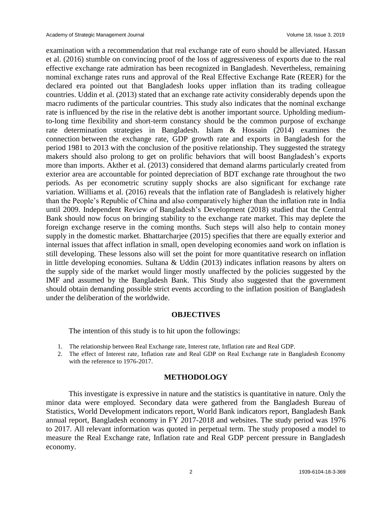examination with a recommendation that real exchange rate of euro should be alleviated. Hassan et al. (2016) stumble on convincing proof of the loss of aggressiveness of exports due to the real effective exchange rate admiration has been recognized in Bangladesh. Nevertheless, remaining nominal exchange rates runs and approval of the Real Effective Exchange Rate (REER) for the declared era pointed out that Bangladesh looks upper inflation than its trading colleague countries. Uddin et al. (2013) stated that an exchange rate activity considerably depends upon the macro rudiments of the particular countries. This study also indicates that the nominal exchange rate is influenced by the rise in the relative debt is another important source. Upholding mediumto-long time flexibility and short-term constancy should be the common purpose of exchange rate determination strategies in Bangladesh. Islam & Hossain (2014) examines the connection between the exchange rate, GDP growth rate and exports in Bangladesh for the period 1981 to 2013 with the conclusion of the positive relationship. They suggested the strategy makers should also prolong to get on prolific behaviors that will boost Bangladesh's exports more than imports. Akther et al. (2013) considered that demand alarms particularly created from exterior area are accountable for pointed depreciation of BDT exchange rate throughout the two periods. As per econometric scrutiny supply shocks are also significant for exchange rate variation. Williams et al. (2016) reveals that the inflation rate of Bangladesh is relatively higher than the People's Republic of China and also comparatively higher than the inflation rate in India until 2009. Independent Review of Bangladesh's Development (2018) studied that the Central Bank should now focus on bringing stability to the exchange rate market. This may deplete the foreign exchange reserve in the coming months. Such steps will also help to contain money supply in the domestic market. Bhattarcharjee (2015) specifies that there are equally exterior and internal issues that affect inflation in small, open developing economies aand work on inflation is still developing. These lessons also will set the point for more quantitative research on inflation in little developing economies. Sultana & Uddin (2013) indicates inflation reasons by alters on the supply side of the market would linger mostly unaffected by the policies suggested by the IMF and assumed by the Bangladesh Bank. This Study also suggested that the government should obtain demanding possible strict events according to the inflation position of Bangladesh under the deliberation of the worldwide.

#### **OBJECTIVES**

The intention of this study is to hit upon the followings:

- 1. The relationship between Real Exchange rate, Interest rate, Inflation rate and Real GDP.
- 2. The effect of Interest rate, Inflation rate and Real GDP on Real Exchange rate in Bangladesh Economy with the reference to 1976-2017.

#### **METHODOLOGY**

This investigate is expressive in nature and the statistics is quantitative in nature. Only the minor data were employed. Secondary data were gathered from the Bangladesh Bureau of Statistics, World Development indicators report, World Bank indicators report, Bangladesh Bank annual report, Bangladesh economy in FY 2017-2018 and websites. The study period was 1976 to 2017. All relevant information was quoted in perpetual term. The study proposed a model to measure the Real Exchange rate, Inflation rate and Real GDP percent pressure in Bangladesh economy.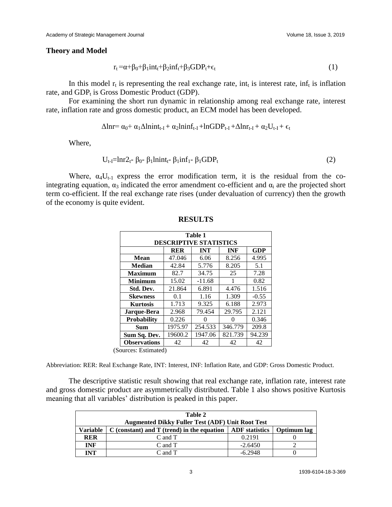#### **Theory and Model**

$$
r_t = \alpha + \beta_0 + \beta_1 int_t + \beta_2 inf_t + \beta_3 GDP_t + \epsilon_t
$$
\n(1)

In this model  $r_t$  is representing the real exchange rate, int<sub>t</sub> is interest rate, inf<sub>t</sub> is inflation rate, and  $GDP_t$  is Gross Domestic Product (GDP).

For examining the short run dynamic in relationship among real exchange rate, interest rate, inflation rate and gross domestic product, an ECM model has been developed.

$$
\Delta lnr = \alpha_0 + \alpha_1 \Delta lnin t_{t-I} + \alpha_2 lininf_{t-I} + lnGDP_{t-I} + \Delta lnr_{t-I} + \alpha_2 U_{t-I} + \varepsilon_t
$$

Where,

$$
U_{t-I} = \ln r 2_t \beta_0 - \beta_1 \ln \ln t_t - \beta_1 \sin f_1 - \beta_1 \text{GDP}_t \tag{2}
$$

Where,  $\alpha_4 U_{t-1}$  express the error modification term, it is the residual from the cointegrating equation,  $\alpha_3$  indicated the error amendment co-efficient and  $\alpha_i$  are the projected short term co-efficient. If the real exchange rate rises (under devaluation of currency) then the growth of the economy is quite evident.

| Table 1                                         |            |            |            |            |  |  |  |  |  |
|-------------------------------------------------|------------|------------|------------|------------|--|--|--|--|--|
| <b>DESCRIPTIVE STATISTICS</b>                   |            |            |            |            |  |  |  |  |  |
|                                                 | <b>RER</b> | <b>INT</b> | <b>INF</b> | <b>GDP</b> |  |  |  |  |  |
| Mean                                            | 47.046     | 6.06       | 8.256      | 4.995      |  |  |  |  |  |
| <b>Median</b>                                   | 42.84      | 5.776      | 8.205      | 5.1        |  |  |  |  |  |
| <b>Maximum</b>                                  | 82.7       | 34.75      | 25         | 7.28       |  |  |  |  |  |
| <b>Minimum</b>                                  | 15.02      | $-11.68$   | 1          | 0.82       |  |  |  |  |  |
| Std. Dev.                                       | 21.864     | 6.891      | 4.476      | 1.516      |  |  |  |  |  |
| <b>Skewness</b>                                 | 0.1        | 1.16       | 1.309      | $-0.55$    |  |  |  |  |  |
| <b>Kurtosis</b>                                 | 1.713      | 9.325      | 6.188      | 2.973      |  |  |  |  |  |
| Jarque-Bera                                     | 2.968      | 79.454     | 29.795     | 2.121      |  |  |  |  |  |
| <b>Probability</b>                              | 0.226      |            | 0          | 0.346      |  |  |  |  |  |
| Sum                                             | 1975.97    | 254.533    | 346.779    | 209.8      |  |  |  |  |  |
| Sum Sq. Dev.                                    | 19600.2    | 1947.06    | 821.739    | 94.239     |  |  |  |  |  |
| <b>Observations</b><br><del>Dating</del> ate J) | 42         | 42         | 42         | 42         |  |  |  |  |  |

#### **RESULTS**

(Sources: Estimated)

Abbreviation: RER: Real Exchange Rate, INT: Interest, INF: Inflation Rate, and GDP: Gross Domestic Product.

The descriptive statistic result showing that real exchange rate, inflation rate, interest rate and gross domestic product are asymmetrically distributed. Table 1 also shows positive Kurtosis meaning that all variables' distribution is peaked in this paper.

| Table 2                                                 |                                                |                       |             |  |  |  |  |  |
|---------------------------------------------------------|------------------------------------------------|-----------------------|-------------|--|--|--|--|--|
| <b>Augmented Dikky Fuller Test (ADF) Unit Root Test</b> |                                                |                       |             |  |  |  |  |  |
| <b>Variable</b>                                         | $C$ (constant) and $T$ (trend) in the equation | <b>ADF</b> statistics | Optimum lag |  |  |  |  |  |
| <b>RER</b>                                              | C and T                                        | 0.2191                |             |  |  |  |  |  |
| <b>INF</b>                                              | C and T                                        | $-2.6450$             |             |  |  |  |  |  |
| INT                                                     | C and T                                        | $-6.2948$             |             |  |  |  |  |  |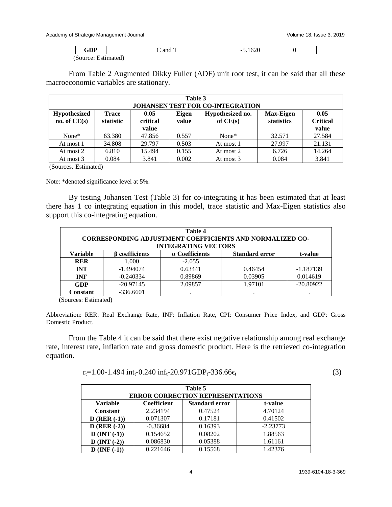macroeconomic variables are stationary.

| $\cap$ DD<br>uvi.            | 1 <sub>0</sub><br>and | 620c<br>$\sim$<br>-9.10ZU |  |
|------------------------------|-----------------------|---------------------------|--|
| $(S_{\text{OIIICP}})$<br>ເມບ | Estimated)            |                           |  |

From Table 2 Augmented Dikky Fuller (ADF) unit root test, it can be said that all these

| Table 3<br><b>JOHANSEN TEST FOR CO-INTEGRATION</b> |                           |                           |                |                                |                                |                                  |  |  |
|----------------------------------------------------|---------------------------|---------------------------|----------------|--------------------------------|--------------------------------|----------------------------------|--|--|
| <b>Hypothesized</b><br>no. of $CE(s)$              | <b>Trace</b><br>statistic | 0.05<br>critical<br>value | Eigen<br>value | Hypothesized no.<br>of $CE(s)$ | <b>Max-Eigen</b><br>statistics | 0.05<br><b>Critical</b><br>value |  |  |
| $None*$                                            | 63.380                    | 47.856                    | 0.557          | None*                          | 32.571                         | 27.584                           |  |  |
| At most 1                                          | 34.808                    | 29.797                    | 0.503          | At most 1                      | 27.997                         | 21.131                           |  |  |
| At most 2                                          | 6.810                     | 15.494                    | 0.155          | At most 2                      | 6.726                          | 14.264                           |  |  |
| At most 3                                          | 0.084                     | 3.841                     | 0.002          | At most 3                      | 0.084                          | 3.841                            |  |  |

(Sources*:* Estimated)

Note: \*denoted significance level at 5%.

By testing Johansen Test (Table 3) for co-integrating it has been estimated that at least there has 1 co integrating equation in this model, trace statistic and Max-Eigen statistics also support this co-integrating equation.

| Table 4<br><b>CORRESPONDING ADJUSTMENT COEFFICIENTS AND NORMALIZED CO-</b><br><b>INTEGRATING VECTORS</b> |                       |                |                       |             |  |  |  |  |
|----------------------------------------------------------------------------------------------------------|-----------------------|----------------|-----------------------|-------------|--|--|--|--|
| <b>Variable</b>                                                                                          | <b>B</b> coefficients | a Coefficients | <b>Standard error</b> | t-value     |  |  |  |  |
| <b>RER</b>                                                                                               | 1.000                 | $-2.055$       |                       |             |  |  |  |  |
| <b>INT</b>                                                                                               | $-1.494074$           | 0.63441        | 0.46454               | $-1.187139$ |  |  |  |  |
| <b>INF</b>                                                                                               | $-0.240334$           | 0.89869        | 0.03905               | 0.014619    |  |  |  |  |
| <b>GDP</b>                                                                                               | $-20.97145$           | 2.09857        | 1.97101               | $-20.80922$ |  |  |  |  |
| <b>Constant</b>                                                                                          | $-336.6601$           |                |                       | ٠           |  |  |  |  |

(Sources: Estimated)

Abbreviation: RER: Real Exchange Rate, INF: Inflation Rate, CPI: Consumer Price Index, and GDP: Gross Domestic Product.

From the Table 4 it can be said that there exist negative relationship among real exchange rate, interest rate, inflation rate and gross domestic product. Here is the retrieved co-integration equation.

| $r_t=1.00-1.494$ int <sub>t</sub> -0.240 inf <sub>t</sub> -20.971GDP <sub>t</sub> -336.66 $\epsilon_t$ |  |  |  |  |  |  |  |  |  |  |  |  |  |  |  |
|--------------------------------------------------------------------------------------------------------|--|--|--|--|--|--|--|--|--|--|--|--|--|--|--|
|--------------------------------------------------------------------------------------------------------|--|--|--|--|--|--|--|--|--|--|--|--|--|--|--|

| Table 5<br><b>ERROR CORRECTION REPRESENTATIONS</b> |             |                       |            |  |  |  |  |
|----------------------------------------------------|-------------|-----------------------|------------|--|--|--|--|
| <b>Variable</b>                                    | Coefficient | <b>Standard error</b> | t-value    |  |  |  |  |
| <b>Constant</b>                                    | 2.234194    | 0.47524               | 4.70124    |  |  |  |  |
| $D$ (RER $(-1)$ )                                  | 0.071307    | 0.17181               | 0.41502    |  |  |  |  |
| $D (RER (-2))$                                     | $-0.36684$  | 0.16393               | $-2.23773$ |  |  |  |  |
| $D$ (INT $(-1)$ )                                  | 0.154652    | 0.08202               | 1.88563    |  |  |  |  |
| $D$ (INT $(-2)$ )                                  | 0.086830    | 0.05388               | 1.61161    |  |  |  |  |
| $D$ (INF $(-1)$ )                                  | 0.221646    | 0.15568               | 1.42376    |  |  |  |  |

(3)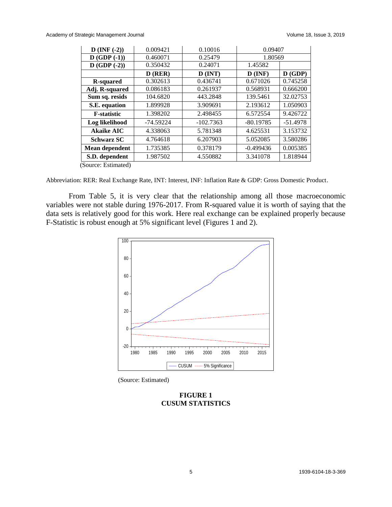#### Academy of Strategic Management Journal and Volume 18, Issue 3, 2019

| $D$ (INF $(-2)$ )                            | 0.009421    | 0.10016     | 0.09407     |            |
|----------------------------------------------|-------------|-------------|-------------|------------|
| $D(GDP(-1))$                                 | 0.460071    | 0.25479     | 1.80569     |            |
| $D$ (GDP $(-2)$ )                            | 0.350432    | 0.24071     | 1.45582     |            |
|                                              | $D$ (RER)   | $D$ (INT)   | $D$ (INF)   | D(GDP)     |
| <b>R-squared</b>                             | 0.302613    | 0.436741    | 0.671026    | 0.745258   |
| Adj. R-squared                               | 0.086183    | 0.261937    | 0.568931    | 0.666200   |
| Sum sq. resids                               | 104.6820    | 443.2848    | 139.5461    | 32.02753   |
| S.E. equation                                | 1.899928    | 3.909691    | 2.193612    | 1.050903   |
| <b>F</b> -statistic                          | 1.398202    | 2.498455    | 6.572554    | 9.426722   |
| Log likelihood                               | $-74.59224$ | $-102.7363$ | $-80.19785$ | $-51.4978$ |
| <b>Akaike AIC</b>                            | 4.338063    | 5.781348    | 4.625531    | 3.153732   |
| <b>Schwarz SC</b>                            | 4.764618    | 6.207903    | 5.052085    | 3.580286   |
| <b>Mean dependent</b>                        | 1.735385    | 0.378179    | $-0.499436$ | 0.005385   |
| S.D. dependent                               | 1.987502    | 4.550882    | 3.341078    |            |
| $(\mathcal{C}_{\text{omass}}^{\text{mean}})$ |             |             |             | 1.818944   |

(Source: Estimated)

Abbreviation: RER: Real Exchange Rate, INT: Interest, INF: Inflation Rate & GDP: Gross Domestic Product.

From Table 5, it is very clear that the relationship among all those macroeconomic variables were not stable during 1976-2017. From R-squared value it is worth of saying that the data sets is relatively good for this work. Here real exchange can be explained properly because F-Statistic is robust enough at 5% significant level (Figures 1 and 2).



(Source: Estimated)

# **FIGURE 1 CUSUM STATISTICS**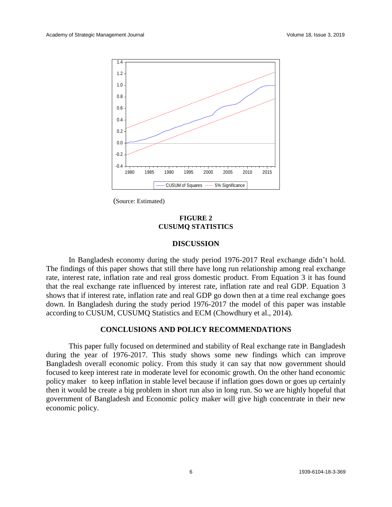

(Source: Estimated)

# **FIGURE 2 CUSUMQ STATISTICS**

#### **DISCUSSION**

In Bangladesh economy during the study period 1976-2017 Real exchange didn't hold. The findings of this paper shows that still there have long run relationship among real exchange rate, interest rate, inflation rate and real gross domestic product. From Equation 3 it has found that the real exchange rate influenced by interest rate, inflation rate and real GDP. Equation 3 shows that if interest rate, inflation rate and real GDP go down then at a time real exchange goes down. In Bangladesh during the study period 1976-2017 the model of this paper was instable according to CUSUM, CUSUMQ Statistics and ECM (Chowdhury et al., 2014).

# **CONCLUSIONS AND POLICY RECOMMENDATIONS**

This paper fully focused on determined and stability of Real exchange rate in Bangladesh during the year of 1976-2017. This study shows some new findings which can improve Bangladesh overall economic policy. From this study it can say that now government should focused to keep interest rate in moderate level for economic growth. On the other hand economic policy maker to keep inflation in stable level because if inflation goes down or goes up certainly then it would be create a big problem in short run also in long run. So we are highly hopeful that government of Bangladesh and Economic policy maker will give high concentrate in their new economic policy.